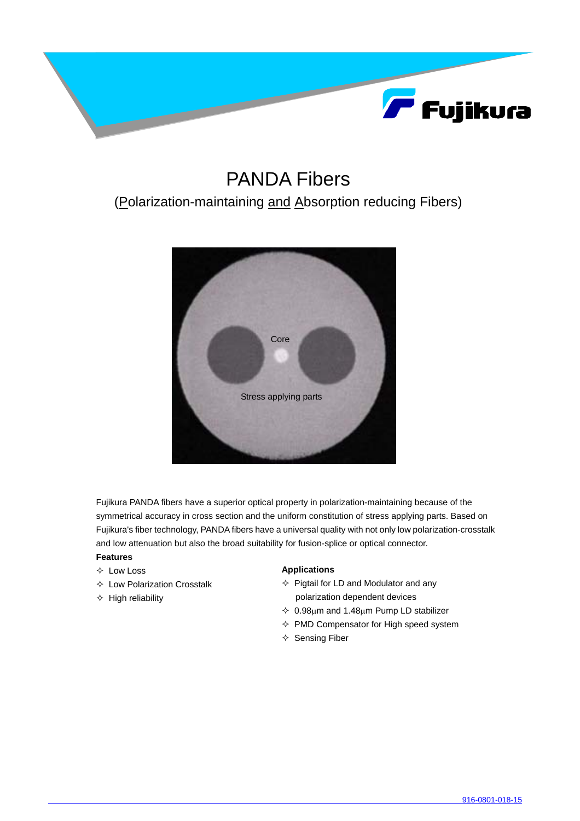

## PANDA Fibers

### (Polarization-maintaining and Absorption reducing Fibers)



Fujikura PANDA fibers have a superior optical property in polarization-maintaining because of the symmetrical accuracy in cross section and the uniform constitution of stress applying parts. Based on Fujikura's fiber technology, PANDA fibers have a universal quality with not only low polarization-crosstalk and low attenuation but also the broad suitability for fusion-splice or optical connector.

#### **Features**

- $\Diamond$  Low Loss
- $\Diamond$  Low Polarization Crosstalk
- $\div$  High reliability

#### **Applications**

- $\Diamond$  Pigtail for LD and Modulator and any polarization dependent devices
- $\div$  0.98µm and 1.48µm Pump LD stabilizer
- $\Diamond$  PMD Compensator for High speed system
- $\Leftrightarrow$  Sensing Fiber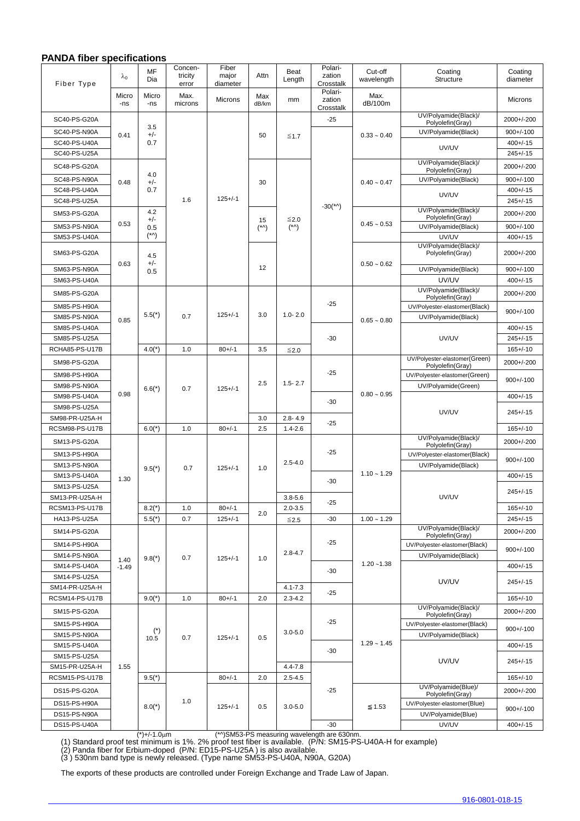#### **PANDA fiber specifications**

| Fiber Type                       | $\lambda_0$     | MF<br>Dia                          | Concen-<br>tricity       | Fiber<br>major                              | Attn                     | Beat<br>Length                       | Polari-<br>zation              | Cut-off<br>wavelength | Coating<br>Structure                              | Coating<br>diameter             |
|----------------------------------|-----------------|------------------------------------|--------------------------|---------------------------------------------|--------------------------|--------------------------------------|--------------------------------|-----------------------|---------------------------------------------------|---------------------------------|
|                                  | Micro<br>-ns    | Micro<br>-ns                       | error<br>Max.<br>microns | diameter<br><b>Microns</b>                  | Max<br>dB/km             | mm                                   | Crosstalk<br>Polari-<br>zation | Max.<br>dB/100m       |                                                   | Microns                         |
|                                  |                 |                                    |                          |                                             |                          |                                      | Crosstalk                      |                       | UV/Polyamide(Black)/                              |                                 |
| SC40-PS-G20A                     | 0.41            | 3.5<br>+/-<br>0.7                  |                          |                                             | 50                       | $\leq 1.7$                           | $-25$                          | $0.33 \sim 0.40$      | Polyolefin(Gray)                                  | 2000+/-200                      |
| SC40-PS-N90A<br>SC40-PS-U40A     |                 |                                    |                          |                                             |                          |                                      |                                |                       | UV/Polyamide(Black)                               | $900 + / -100$<br>$400 + (-15)$ |
| SC40-PS-U25A                     |                 |                                    |                          |                                             |                          |                                      |                                |                       | UV/UV                                             | $245 + (-15)$                   |
|                                  |                 |                                    |                          |                                             |                          |                                      |                                |                       | UV/Polyamide(Black)/                              |                                 |
| SC48-PS-G20A                     |                 | 4.0                                |                          |                                             |                          |                                      |                                |                       | Polyolefin(Gray)                                  | 2000+/-200                      |
| SC48-PS-N90A                     | 0.48            | $+/-$<br>0.7                       | 1.6                      | $125 + (-1)$                                | 30                       |                                      |                                | $0.40 \sim 0.47$      | UV/Polyamide(Black)                               | $900 + (-100$                   |
| SC48-PS-U40A<br>SC48-PS-U25A     |                 |                                    |                          |                                             |                          |                                      |                                |                       | UV/UV                                             | $400 + (-15)$<br>$245 + (-15)$  |
| SM53-PS-G20A                     | 0.53            | 4.2                                |                          |                                             |                          |                                      | $-30$ (*^)                     |                       | UV/Polyamide(Black)/                              | 2000+/-200                      |
|                                  |                 | $+/-$<br>0.5<br>$(^{\star}\wedge)$ |                          |                                             | 15<br>$(^{\star}\wedge)$ | ≤2.0<br>$(^{\star} \wedge)$          |                                | $0.45 \sim 0.53$      | Polyolefin(Gray)                                  |                                 |
| SM53-PS-N90A<br>SM53-PS-U40A     |                 |                                    |                          |                                             |                          |                                      |                                |                       | UV/Polyamide(Black)<br>UV/UV                      | $900 + / -100$<br>$400 + (-15)$ |
|                                  | 0.63            | 4.5<br>+/-<br>0.5                  |                          |                                             | 12                       |                                      |                                | $0.50 \sim 0.62$      | UV/Polyamide(Black)/                              |                                 |
| SM63-PS-G20A                     |                 |                                    |                          |                                             |                          |                                      |                                |                       | Polyolefin(Gray)                                  | 2000+/-200                      |
| SM63-PS-N90A                     |                 |                                    |                          |                                             |                          |                                      |                                |                       | UV/Polyamide(Black)                               | $900 + (-100$                   |
| SM63-PS-U40A                     |                 |                                    |                          |                                             |                          |                                      |                                |                       | UV/UV                                             | $400 + (-15)$                   |
| SM85-PS-G20A                     |                 | $5.5(*)$                           | 0.7                      | $125 + (-1)$                                | 3.0                      | $1.0 - 2.0$                          | $-25$                          | $0.65 \sim 0.80$      | UV/Polyamide(Black)/<br>Polyolefin(Gray)          | 2000+/-200                      |
| SM85-PS-H90A                     |                 |                                    |                          |                                             |                          |                                      |                                |                       | UV/Polyester-elastomer(Black)                     | $900 + / -100$                  |
| SM85-PS-N90A                     | 0.85            |                                    |                          |                                             |                          |                                      |                                |                       | UV/Polyamide(Black)                               |                                 |
| SM85-PS-U40A                     |                 |                                    |                          |                                             |                          |                                      |                                |                       |                                                   | $400 + (-15)$                   |
| SM85-PS-U25A                     |                 |                                    |                          |                                             |                          |                                      | $-30$                          |                       | UV/UV                                             | $245 + (-15)$                   |
| RCHA85-PS-U17B                   | 0.98            | $4.0(*)$<br>$6.6(*)$<br>$6.0(*)$   | 1.0<br>0.7<br>1.0        | $80 +/-1$<br>$125 + (-1)$<br>$80 + / - 1$   | 3.5<br>2.5<br>3.0        | $≤2.0$<br>$1.5 - 2.7$<br>$2.8 - 4.9$ | $-25$                          | $0.80 \sim 0.95$      | UV/Polyester-elastomer(Green)                     | $165 + (-10)$                   |
| SM98-PS-G20A                     |                 |                                    |                          |                                             |                          |                                      |                                |                       | Polyolefin(Gray)                                  | 2000+/-200                      |
| SM98-PS-H90A                     |                 |                                    |                          |                                             |                          |                                      |                                |                       | UV/Polyester-elastomer(Green)                     | $900 + / -100$                  |
| SM98-PS-N90A                     |                 |                                    |                          |                                             |                          |                                      |                                |                       | UV/Polyamide(Green)                               |                                 |
| SM98-PS-U40A                     |                 |                                    |                          |                                             |                          |                                      | $-30$                          |                       | UV/UV                                             | $400 + (-15)$                   |
| SM98-PS-U25A<br>SM98-PR-U25A-H   |                 |                                    |                          |                                             |                          |                                      | $-25$                          |                       |                                                   | $245 + 15$                      |
| RCSM98-PS-U17B                   |                 |                                    |                          |                                             | 2.5                      | $1.4 - 2.6$                          |                                |                       |                                                   | $165 + (-10)$                   |
| SM13-PS-G20A                     | 1.30            | $9.5(*)$                           | 0.7<br>$1.0$<br>0.7      | $125 + (-1)$<br>$80 + / -1$<br>$125 + (-1)$ | 1.0<br>2.0               | $2.5 - 4.0$                          |                                | $1.10 \sim 1.29$      | UV/Polyamide(Black)/                              | 2000+/-200                      |
| SM13-PS-H90A                     |                 |                                    |                          |                                             |                          |                                      | $-25$<br>$-30$                 |                       | Polyolefin(Gray)<br>UV/Polyester-elastomer(Black) |                                 |
| SM13-PS-N90A                     |                 |                                    |                          |                                             |                          |                                      |                                |                       | UV/Polyamide(Black)                               | $900 + / -100$                  |
| SM13-PS-U40A                     |                 |                                    |                          |                                             |                          |                                      |                                |                       |                                                   | $400 + (-15)$                   |
| SM13-PS-U25A                     |                 |                                    |                          |                                             |                          |                                      |                                |                       | UV/UV                                             |                                 |
| SM13-PR-U25A-H                   |                 |                                    |                          |                                             |                          | $3.8 - 5.6$                          |                                |                       |                                                   | $245 + (-15)$                   |
| RCSM13-PS-U17B                   |                 | $8.2(*)$                           |                          |                                             |                          | $2.0 - 3.5$                          | $-25$                          |                       |                                                   | $165 + (-10)$                   |
| HA13-PS-U25A                     |                 | $5.5(*)$                           |                          |                                             |                          | $≤2.5$                               | $-30$                          | $1.00 \sim 1.29$      |                                                   | $245 + (-15)$                   |
| SM14-PS-G20A                     | 1.40<br>$-1.49$ | $9.8(*)$                           | 0.7                      | $125 + (-1)$                                | 1.0                      | $2.8 - 4.7$                          | $-25$                          | $1.20 - 1.38$         | UV/Polyamide(Black)/<br>Polyolefin(Gray)          | 2000+/-200                      |
| SM14-PS-H90A                     |                 |                                    |                          |                                             |                          |                                      |                                |                       | UV/Polyester-elastomer(Black)                     |                                 |
| SM14-PS-N90A                     |                 |                                    |                          |                                             |                          |                                      |                                |                       | UV/Polyamide(Black)                               | $900 + / -100$                  |
| SM14-PS-U40A                     |                 |                                    |                          |                                             |                          |                                      | $-30$                          |                       | UV/UV                                             | $400 + (-15)$                   |
| SM14-PS-U25A                     |                 |                                    |                          |                                             |                          |                                      |                                |                       |                                                   | 245+/-15                        |
| SM14-PR-U25A-H                   |                 |                                    |                          |                                             |                          | $4.1 - 7.3$                          | $-25$                          |                       |                                                   |                                 |
| RCSM14-PS-U17B                   |                 | $9.0(*)$                           | 1.0                      | $80 + (-1)$                                 | 2.0                      | $2.3 - 4.2$                          |                                |                       | UV/Polyamide(Black)/                              | $165 + (-10)$                   |
| SM15-PS-G20A                     |                 | $(\dot{a})$<br>10.5                | 0.7                      | $125 + (-1)$                                | 0.5                      | $3.0 - 5.0$                          |                                | $1.29 \sim 1.45$      | Polyolefin(Gray)                                  | 2000+/-200                      |
| SM15-PS-H90A                     |                 |                                    |                          |                                             |                          |                                      | $-25$                          |                       | UV/Polyester-elastomer(Black)                     | $900 + (-100$                   |
| SM15-PS-N90A                     |                 |                                    |                          |                                             |                          |                                      |                                |                       | UV/Polyamide(Black)                               |                                 |
| SM15-PS-U40A                     |                 |                                    |                          |                                             |                          |                                      | $-30$                          |                       | UV/UV                                             | $400 + (-15)$<br>$245 + (-15)$  |
| SM15-PS-U25A                     |                 |                                    |                          |                                             |                          |                                      |                                |                       |                                                   |                                 |
| SM15-PR-U25A-H<br>RCSM15-PS-U17B | 1.55            | $9.5(*)$                           | 1.0                      | $80 +/-1$                                   | 2.0                      | $4.4 - 7.8$<br>$2.5 - 4.5$           | $-25$<br>$-30$                 |                       |                                                   | $165 + (-10)$                   |
|                                  |                 | $8.0(*)$                           |                          | $125 + (-1)$                                | 0.5                      | $3.0 - 5.0$                          |                                | 1.53                  | UV/Polyamide(Blue)/                               |                                 |
| DS15-PS-G20A                     |                 |                                    |                          |                                             |                          |                                      |                                |                       | Polyolefin(Gray)                                  | 2000+/-200<br>$900 + (-100$     |
| DS15-PS-H90A                     |                 |                                    |                          |                                             |                          |                                      |                                |                       | UV/Polyester-elastomer(Blue)                      |                                 |
| DS15-PS-N90A<br>DS15-PS-U40A     |                 |                                    |                          |                                             |                          |                                      |                                |                       | UV/Polyamide(Blue)<br>UV/UV                       | $400 + (-15)$                   |
|                                  |                 |                                    |                          |                                             |                          |                                      |                                |                       |                                                   |                                 |

\*^)SM53-PS measuring wavelength are 630nm.<br>(1) Standard proof test minimum is 1%. 2% proof test fiber is available. (P/N: SM15-PS-U40A-H for example)

(2) Panda fiber for Erbium-doped (P/N: ED15-PS-U25A ) is also available. (3 ) 530nm band type is newly released. (Type name SM53-PS-U40A, N90A, G20A)

The exports of these products are controlled under Foreign Exchange and Trade Law of Japan.